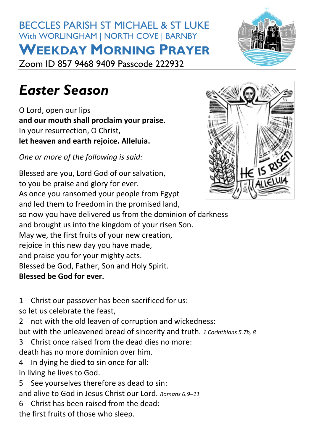# BECCLES PARISH ST MICHAEL & ST LUKE With WORLINGHAM | NORTH COVE | BARNBY **WEEKDAY MORNING PRAYER** Zoom ID 857 9468 9409 Passcode 222932



# *Easter Season*

O Lord, open our lips **and our mouth shall proclaim your praise.** In your resurrection, O Christ, **let heaven and earth rejoice. Alleluia.**

*One or more of the following is said:*

Blessed are you, Lord God of our salvation, to you be praise and glory for ever. As once you ransomed your people from Egypt and led them to freedom in the promised land, so now you have delivered us from the dominion of darkness and brought us into the kingdom of your risen Son. May we, the first fruits of your new creation, rejoice in this new day you have made, and praise you for your mighty acts. Blessed be God, Father, Son and Holy Spirit. **Blessed be God for ever.**

1 Christ our passover has been sacrificed for us:

so let us celebrate the feast,

2 not with the old leaven of corruption and wickedness:

but with the unleavened bread of sincerity and truth. *1 Corinthians 5.7b, 8*

3 Christ once raised from the dead dies no more:

death has no more dominion over him.

- 4 In dying he died to sin once for all: in living he lives to God.
- 5 See yourselves therefore as dead to sin:

and alive to God in Jesus Christ our Lord. *Romans 6.9–11*

6 Christ has been raised from the dead:

the first fruits of those who sleep.

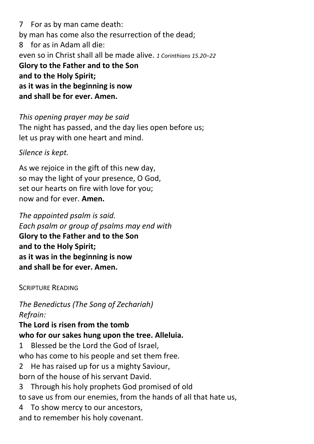7 For as by man came death: by man has come also the resurrection of the dead; 8 for as in Adam all die: even so in Christ shall all be made alive. *1 Corinthians 15.20–22* **Glory to the Father and to the Son and to the Holy Spirit; as it was in the beginning is now and shall be for ever. Amen.**

*This opening prayer may be said* The night has passed, and the day lies open before us; let us pray with one heart and mind.

*Silence is kept.*

As we rejoice in the gift of this new day, so may the light of your presence, O God, set our hearts on fire with love for you; now and for ever. **Amen.**

*The appointed [psalm](https://www.churchofengland.org/common-material/psalter#mm13a) is said. Each psalm or group of psalms may end with* **Glory to the Father and to the Son and to the Holy Spirit; as it was in the beginning is now and shall be for ever. Amen.**

SCRIPTURE READING

*The Benedictus (The Song of Zechariah) Refrain:*

#### **The Lord is risen from the tomb who for our sakes hung upon the tree. Alleluia.**

1 Blessed be the Lord the God of Israel, who has come to his people and set them free.

2 He has raised up for us a mighty Saviour, born of the house of his servant David.

3 Through his holy prophets God promised of old

to save us from our enemies, from the hands of all that hate us,

4 To show mercy to our ancestors,

and to remember his holy covenant.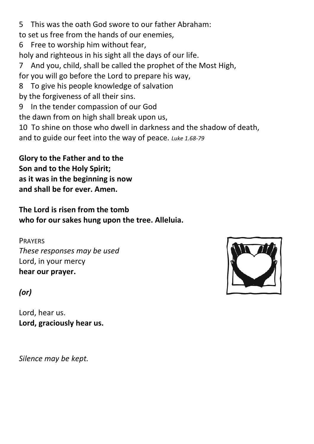5 This was the oath God swore to our father Abraham:

to set us free from the hands of our enemies,

6 Free to worship him without fear,

holy and righteous in his sight all the days of our life.

7 And you, child, shall be called the prophet of the Most High,

for you will go before the Lord to prepare his way,

8 To give his people knowledge of salvation

by the forgiveness of all their sins.

- 9 In the tender compassion of our God
- the dawn from on high shall break upon us,

10 To shine on those who dwell in darkness and the shadow of death,

and to guide our feet into the way of peace. *Luke 1.68-79*

**Glory to the Father and to the Son and to the Holy Spirit; as it was in the beginning is now and shall be for ever. Amen.**

**The Lord is risen from the tomb who for our sakes hung upon the tree. Alleluia.**

## PRAYERS

*These responses may be used* Lord, in your mercy **hear our prayer.**

# *(or)*

Lord, hear us. **Lord, graciously hear us.**

*Silence may be kept.*